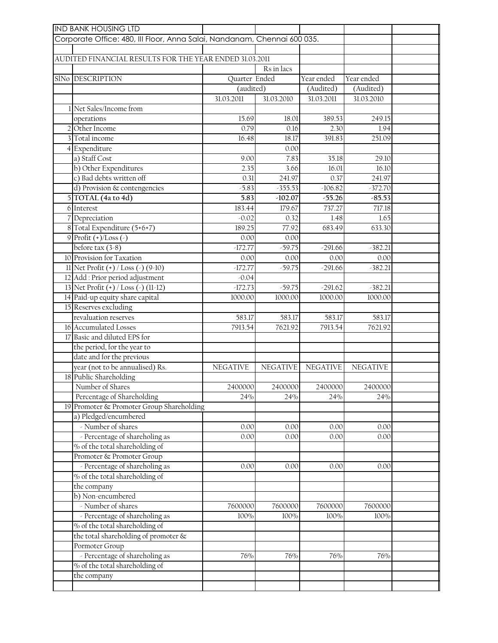|                                                                          | <b>IND BANK HOUSING LTD</b>                             |                 |                 |                 |                 |  |  |
|--------------------------------------------------------------------------|---------------------------------------------------------|-----------------|-----------------|-----------------|-----------------|--|--|
| Corporate Office: 480, III Floor, Anna Salai, Nandanam, Chennai 600 035. |                                                         |                 |                 |                 |                 |  |  |
|                                                                          |                                                         |                 |                 |                 |                 |  |  |
|                                                                          | AUDITED FINANCIAL RESULTS FOR THE YEAR ENDED 31.03.2011 |                 |                 |                 |                 |  |  |
|                                                                          |                                                         |                 | Rs in lacs      |                 |                 |  |  |
|                                                                          | SIN <sub>o</sub> DESCRIPTION                            | Quarter Ended   |                 | Year ended      | Year ended      |  |  |
|                                                                          |                                                         | (audited)       |                 | (Audited)       | (Audited)       |  |  |
|                                                                          |                                                         | 31.03.2011      | 31.03.2010      | 31.03.2011      | 31.03.2010      |  |  |
|                                                                          | 1 Net Sales/Income from                                 |                 |                 |                 |                 |  |  |
|                                                                          | operations                                              | 15.69           | 18.01           | 389.53          | 249.15          |  |  |
|                                                                          | 2 Other Income                                          | 0.79            | 0.16            | 2.30            | 1.94            |  |  |
|                                                                          | 3 Total income                                          | 16.48           | 18.17           | 391.83          | 251.09          |  |  |
|                                                                          | 4 Expenditure                                           |                 | 0.00            |                 |                 |  |  |
|                                                                          | a) Staff Cost                                           | 9.00            | 7.83            | 35.18           | 29.10           |  |  |
|                                                                          | b) Other Expenditures                                   | 2.35            | 3.66            | 16.01           | 16.10           |  |  |
|                                                                          | c) Bad debts written off                                | 0.31            | 241.97          | 0.37            | 241.97          |  |  |
|                                                                          | d) Provision & contengencies                            | $-5.83$         | $-355.53$       | $-106.82$       | $-372.70$       |  |  |
|                                                                          | 5 TOTAL (4a to 4d)                                      | 5.83            | $-102.07$       | $-55.26$        | $-85.53$        |  |  |
|                                                                          | 6 Interest                                              | 183.44          | 179.67          | 737.27          | 717.18          |  |  |
|                                                                          | 7 Depreciation                                          | $-0.02$         | 0.32            | 1.48            | 1.65            |  |  |
|                                                                          | 8 Total Expenditure (5+6+7)                             | 189.25          | 77.92           | 683.49          | 633.30          |  |  |
|                                                                          | 9 Profit $(+)$ /Loss $($ )                              | 0.00            | 0.00            |                 |                 |  |  |
|                                                                          | before tax $(3-8)$                                      | $-172.77$       | $-59.75$        | $-291.66$       | $-382.21$       |  |  |
|                                                                          | 10 Provision for Taxation                               | 0.00            | 0.00            | 0.00            | 0.00            |  |  |
|                                                                          | 11 Net Profit (+) / Loss (-) (9-10)                     | $-172.77$       | $-59.75$        | $-291.66$       | $-382.21$       |  |  |
|                                                                          | 12 Add : Prior period adjustment                        | $-0.04$         |                 |                 |                 |  |  |
|                                                                          | 13 Net Profit (+) / Loss (-) (11-12)                    | $-172.73$       | $-59.75$        | $-291.62$       | $-382.21$       |  |  |
|                                                                          | 14 Paid-up equity share capital                         | 1000.00         | 1000.00         | 1000.00         | 1000.00         |  |  |
|                                                                          | 15 Reserves excluding                                   |                 |                 |                 |                 |  |  |
|                                                                          | revaluation reserves                                    | 583.17          | 583.17          | 583.17          | 583.17          |  |  |
|                                                                          | 16 Accumulated Losses                                   | 7913.54         | 7621.92         | 7913.54         | 7621.92         |  |  |
|                                                                          | 17 Basic and diluted EPS for                            |                 |                 |                 |                 |  |  |
|                                                                          | the period, for the year to                             |                 |                 |                 |                 |  |  |
|                                                                          | date and for the previous                               |                 |                 |                 |                 |  |  |
|                                                                          | year (not to be annualised) Rs.                         | <b>NEGATIVE</b> | <b>NEGATIVE</b> | <b>NEGATIVE</b> | <b>NEGATIVE</b> |  |  |
|                                                                          | 18 Public Shareholding                                  |                 |                 |                 |                 |  |  |
|                                                                          | Number of Shares                                        | 2400000         | 2400000         | 2400000         | 2400000         |  |  |
|                                                                          | Percentage of Shareholding                              | 24%             | 24%             | 24%             | 24%             |  |  |
|                                                                          | 19 Promoter & Promoter Group Shareholding               |                 |                 |                 |                 |  |  |
|                                                                          | a) Pledged/encumbered                                   |                 |                 |                 |                 |  |  |
|                                                                          | - Number of shares                                      | 0.00            | 0.00            | 0.00            | 0.00            |  |  |
|                                                                          | - Percentage of shareholing as                          | 0.00            | 0.00            | 0.00            | 0.00            |  |  |
|                                                                          | % of the total shareholding of                          |                 |                 |                 |                 |  |  |
|                                                                          | Promoter & Promoter Group                               |                 |                 |                 |                 |  |  |
|                                                                          | - Percentage of shareholing as                          | 0.00            | 0.00            | 0.00            | 0.00            |  |  |
|                                                                          | % of the total shareholding of                          |                 |                 |                 |                 |  |  |
|                                                                          | the company                                             |                 |                 |                 |                 |  |  |
|                                                                          | b) Non-encumbered                                       |                 |                 |                 |                 |  |  |
|                                                                          | - Number of shares                                      | 7600000         | 7600000         | 7600000         | 7600000         |  |  |
|                                                                          | - Percentage of shareholing as                          | 100%            | 100%            | 100%            | 100%            |  |  |
|                                                                          | % of the total shareholding of                          |                 |                 |                 |                 |  |  |
|                                                                          |                                                         |                 |                 |                 |                 |  |  |
|                                                                          | the total shareholding of promoter &                    |                 |                 |                 |                 |  |  |
|                                                                          | Pormoter Group                                          |                 |                 |                 |                 |  |  |
|                                                                          | - Percentage of shareholing as                          | 76%             | 76%             | 76%             | 76%             |  |  |
|                                                                          | % of the total shareholding of                          |                 |                 |                 |                 |  |  |
|                                                                          | the company                                             |                 |                 |                 |                 |  |  |
|                                                                          |                                                         |                 |                 |                 |                 |  |  |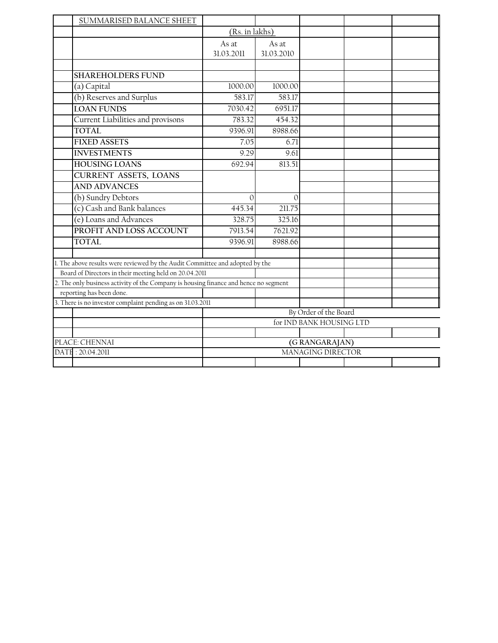|                                                            | SUMMARISED BALANCE SHEET                                                             |                                    |                     |  |  |  |
|------------------------------------------------------------|--------------------------------------------------------------------------------------|------------------------------------|---------------------|--|--|--|
|                                                            |                                                                                      | (Rs. in lakhs)                     |                     |  |  |  |
|                                                            |                                                                                      | As at<br>31.03.2011                | As at<br>31.03.2010 |  |  |  |
|                                                            |                                                                                      |                                    |                     |  |  |  |
|                                                            | <b>SHAREHOLDERS FUND</b>                                                             |                                    |                     |  |  |  |
|                                                            | (a) Capital                                                                          | 1000.00                            | 1000.00             |  |  |  |
|                                                            | (b) Reserves and Surplus                                                             | 583.17                             | 583.17              |  |  |  |
|                                                            | <b>LOAN FUNDS</b>                                                                    | 7030.42                            | 6951.17             |  |  |  |
|                                                            | Current Liabilities and provisons                                                    | 783.32                             | 454.32              |  |  |  |
|                                                            | <b>TOTAL</b>                                                                         | 9396.91                            | 8988.66             |  |  |  |
|                                                            | <b>FIXED ASSETS</b>                                                                  | 7.05                               | 6.71                |  |  |  |
|                                                            | <b>INVESTMENTS</b>                                                                   | 9.29                               | 9.61                |  |  |  |
|                                                            | <b>HOUSING LOANS</b>                                                                 | 692.94                             | 813.51              |  |  |  |
|                                                            | <b>CURRENT ASSETS, LOANS</b>                                                         |                                    |                     |  |  |  |
|                                                            | <b>AND ADVANCES</b>                                                                  |                                    |                     |  |  |  |
|                                                            | (b) Sundry Debtors                                                                   | $\mathbf{0}$                       | $\Omega$            |  |  |  |
|                                                            | (c) Cash and Bank balances                                                           | 445.34                             | 211.75              |  |  |  |
|                                                            | (e) Loans and Advances                                                               | 328.75                             | 325.16              |  |  |  |
|                                                            | PROFIT AND LOSS ACCOUNT                                                              | 7913.54                            | 7621.92             |  |  |  |
|                                                            | TOTAL                                                                                | 9396.91                            | 8988.66             |  |  |  |
|                                                            | 1. The above results were reviewed by the Audit Committee and adopted by the         |                                    |                     |  |  |  |
|                                                            | Board of Directors in their meeting held on 20.04.2011                               |                                    |                     |  |  |  |
|                                                            | 2. The only business activity of the Company is housing finance and hence no segment |                                    |                     |  |  |  |
|                                                            | reporting has been done.                                                             |                                    |                     |  |  |  |
| 3. There is no investor complaint pending as on 31.03.2011 |                                                                                      |                                    |                     |  |  |  |
|                                                            |                                                                                      | By Order of the Board              |                     |  |  |  |
|                                                            |                                                                                      | for IND BANK HOUSING LTD           |                     |  |  |  |
|                                                            | PLACE: CHENNAI                                                                       |                                    |                     |  |  |  |
|                                                            | DATE: 20.04.2011                                                                     | (GRANGARAJAN)<br>MANAGING DIRECTOR |                     |  |  |  |
|                                                            |                                                                                      |                                    |                     |  |  |  |
|                                                            |                                                                                      |                                    |                     |  |  |  |